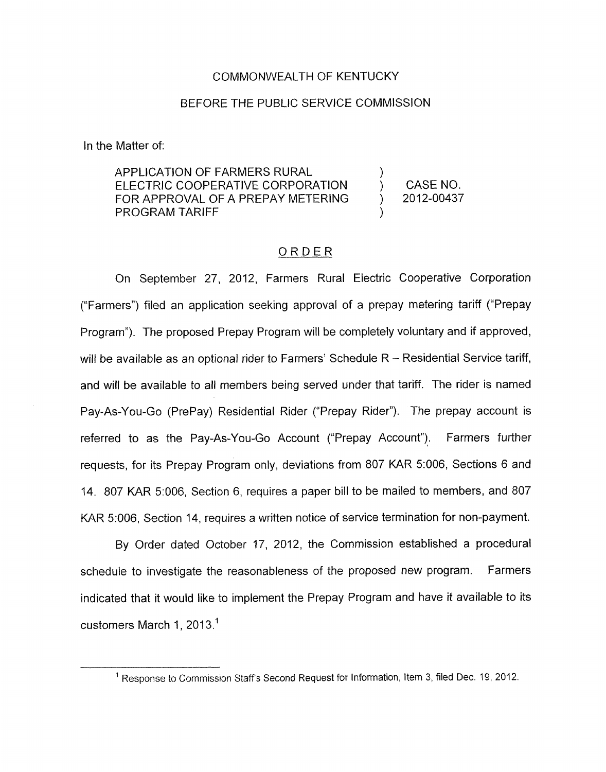#### COMMONWEALTH OF KENTUCKY

## BEFORE THE PUBLIC SERVICE COMMISSION

In the Matter of:

APPLICATION OF FARMERS RURAL  $\begin{array}{ccc} 1 & 0 & 0 \\ 0 & 1 & 0 \\ 0 & 0 & 0 \end{array}$  CASE NO. PROGRAM TARIFF FOR APPROVAL OF A PREPAY METERING  $\vert$  2012-00437

## ORDER

On September 27, 2012, Farmers Rural Electric Cooperative Corporation ("Farmers") filed an application seeking approval of a prepay metering tariff ("Prepay Program"). The proposed Prepay Program will be completely voluntary and if approved, will be available as an optional rider to Farmers' Schedule  $R -$  Residential Service tariff, and will be available to all members being served under that tariff. The rider is named Pay-As-You-Go (PrePay) Residential Rider ("Prepay Rider"). The prepay account is referred to as the Pay-As-You-Go Account ("Prepay Account"). Farmers further requests, for its Prepay Program only, deviations from 807 KAR 5:006, Sections 6 and 14. 807 KAR 5:006, Section 6, requires a paper bill to be mailed to members, and 807 KAR 5:006, Section 14, requires a written notice of service termination for non-payment.

By Order dated October 17, 2012, the Commission established a procedural schedule to investigate the reasonableness of the proposed new program. Farmers indicated that it would like to implement the Prepay Program and have it available to its customers March 1, 2013.<sup>1</sup>

<sup>&</sup>lt;sup>1</sup> Response to Commission Staff's Second Request for Information, Item 3, filed Dec. 19, 2012.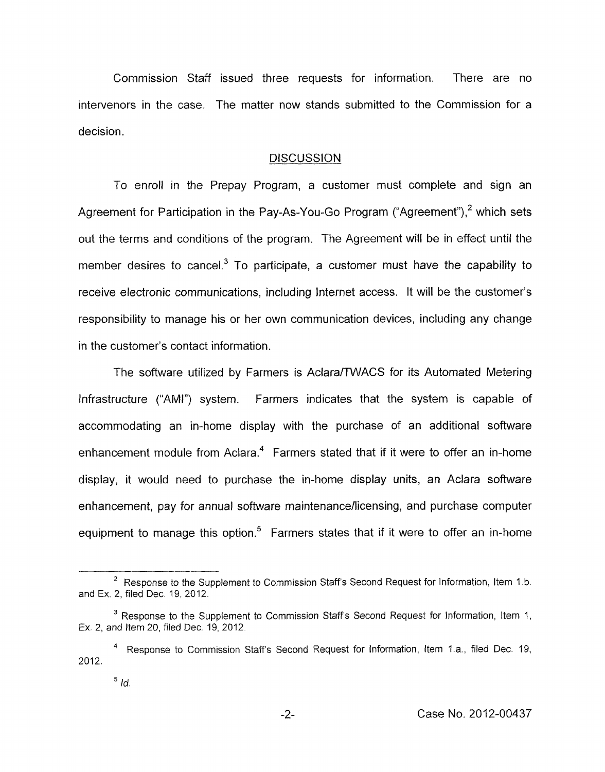Commission Staff issued three requests for information. There are no intervenors in the case. The matter now stands submitted to the Commission for a decision.

## **DISCUSSION**

To enroll in the Prepay Program, a customer must complete and sign an Agreement for Participation in the Pay-As-You-Go Program ("Agreement"),<sup>2</sup> which sets out the terms and conditions of the program. The Agreement will be in effect until the member desires to cancel.<sup>3</sup> To participate, a customer must have the capability to receive electronic communications, including Internet access. It will be the customer's responsibility to manage his or her own communication devices, including any change in the customer's contact information.

The software utilized by Farmers is Aclara/TWACS for its Automated Metering Infrastructure ("AMI") system. Farmers indicates that the system is capable of accommodating an in-home display with the purchase of an additional software enhancement module from Aclara. $4$  Farmers stated that if it were to offer an in-home display, it would need to purchase the in-home display units, an Aclara software enhancement, pay for annual software maintenance/licensing, and purchase computer equipment to manage this option. $5$  Farmers states that if it were to offer an in-home

<sup>&</sup>lt;sup>2</sup> Response to the Supplement to Commission Staff's Second Request for Information, Item 1.b. and Ex. 2, filed Dec. 19, 2012.

<sup>&</sup>lt;sup>3</sup> Response to the Supplement to Commission Staff's Second Request for Information, Item 1, Ex 2, and Item 20, filed Dec 19, 2012

Response to Commission Staffs Second Request for Information, Item I a., filed Dec 19, **<sup>4</sup>** 2012

*Id.*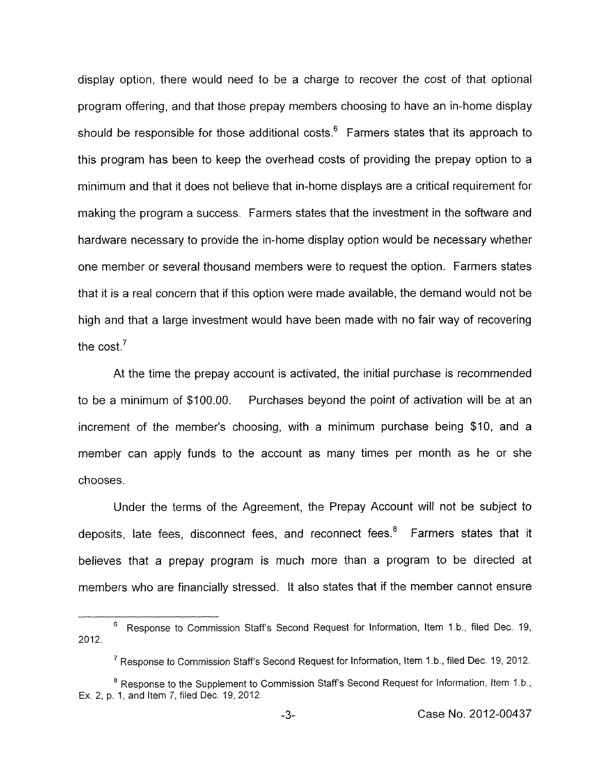display option, there would need to be a charge to recover the cost of that optional program offering, and that those prepay members choosing to have an in-home display should be responsible for those additional costs.<sup>6</sup> Farmers states that its approach to this program has been to keep the overhead costs of providing the prepay option to a minimum and that it does not believe that in-home displays are a critical requirement for making the program a success. Farmers states that the investment in the software and hardware necessary to provide the in-home display option would be necessary whether one member or several thousand members were to request the option. Farmers states that it is a real concern that if this option were made available, the demand would not be high and that a large investment would have been made with no fair way of recovering the cost $^7$ 

At the time the prepay account is activated, the initial purchase is recommended to be a minimum of \$100.00. Purchases beyond the point of activation will be at an increment of the member's choosing, with a minimum purchase being \$10, and a member can apply funds to the account as many times per month as he or she chooses.

Under the terms of the Agreement, the Prepay Account will not be subject to deposits, late fees, disconnect fees, and reconnect fees.' Farmers states that it believes that a prepay program is much more than a program to be directed at members who are financially stressed. It also states that if the member cannot ensure

<sup>&</sup>lt;sup>6</sup> Response to Commission Staff's Second Request for Information, Item 1.b., filed Dec. 19, **2012.** 

<sup>&</sup>lt;sup>7</sup> Response to Commission Staff's Second Request for Information, Item 1.b., filed Dec. 19, 2012.

<sup>&</sup>lt;sup>8</sup> Response to the Supplement to Commission Staff's Second Request for Information, Item 1.b., Ex. **2,** p. **1,** and Item 7, filed Dec 19, **2012.**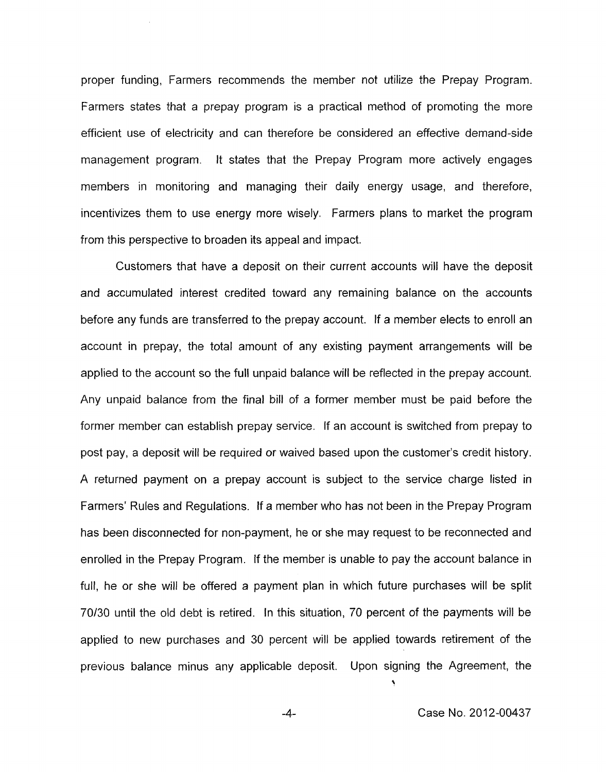proper funding, Farmers recommends the member not utilize the Prepay Program. Farmers states that a prepay program is a practical method of promoting the more efficient use of electricity and can therefore be considered an effective demand-side management program. It states that the Prepay Program more actively engages members in monitoring and managing their daily energy usage, and therefore, incentivizes them to use energy more wisely. Farmers plans to market the program from this perspective to broaden its appeal and impact.

Customers that have a deposit on their current accounts will have the deposit and accumulated interest credited toward any remaining balance on the accounts before any funds are transferred to the prepay account. If a member elects to enroll an account in prepay, the total amount of any existing payment arrangements will be applied to the account so the full unpaid balance will be reflected in the prepay account. Any unpaid balance from the final bill of a former member must be paid before the former member can establish prepay service. If an account is switched from prepay to post pay, a deposit will be required or waived based upon the customer's credit history. A returned payment on a prepay account is subject to the service charge listed in Farmers' Rules and Regulations. If a member who has not been in the Prepay Program has been disconnected for non-payment, he or she may request to be reconnected and enrolled in the Prepay Program. If the member is unable to pay the account balance in full, he or she will be offered a payment plan in which future purchases will be split 70/30 until the old debt is retired. In this situation, 70 percent of the payments will be applied to new purchases and 30 percent will be applied towards retirement of the previous balance minus any applicable deposit. Upon signing the Agreement, the

**1**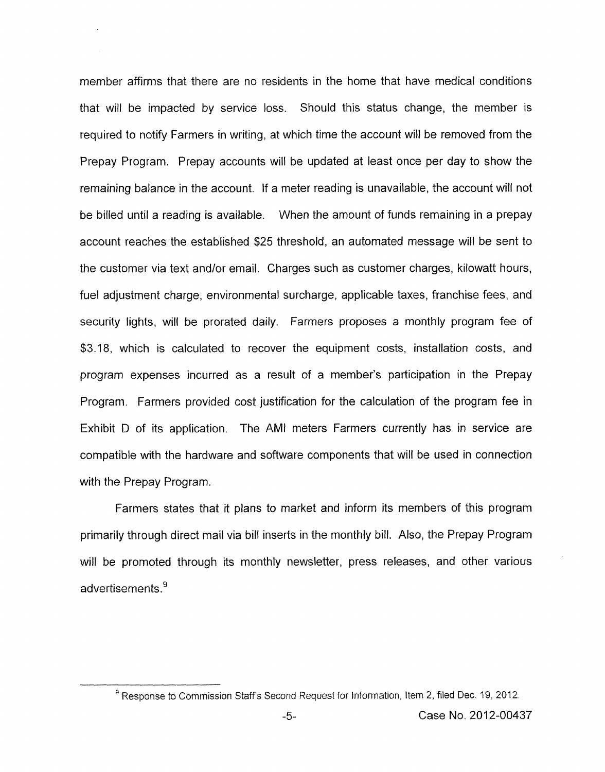member affirms that there are no residents in the home that have medical conditions that will be impacted by service loss. Should this status change, the member is required to notify Farmers in writing, at which time the account will be removed from the Prepay Program. Prepay accounts will be updated at least once per day to show the remaining balance in the account. If a meter reading is unavailable, the account will not be billed until a reading is available. When the amount of funds remaining in a prepay account reaches the established \$25 threshold, an automated message will be sent to the customer via text and/or email. Charges such as customer charges, kilowatt hours, fuel adjustment charge, environmental surcharge, applicable taxes, franchise fees, and security lights, will be prorated daily. Farmers proposes a monthly program fee of \$3.18, which is calculated to recover the equipment costs, installation costs, and program expenses incurred as a result of a member's participation in the Prepay Program. Farmers provided cost justification for the calculation of the program fee in Exhibit D of its application. The AMI meters Farmers currently has in service are compatible with the hardware and software components that will be used in connection with the Prepay Program.

Farmers states that it plans to market and inform its members of this program primarily through direct mail via bill inserts in the monthly bill. Also, the Prepay Program will be promoted through its monthly newsletter, press releases, and other various advertisements.<sup>9</sup>

<sup>&</sup>lt;sup>9</sup> Response to Commission Staff's Second Request for Information, Item 2, filed Dec. 19, 2012.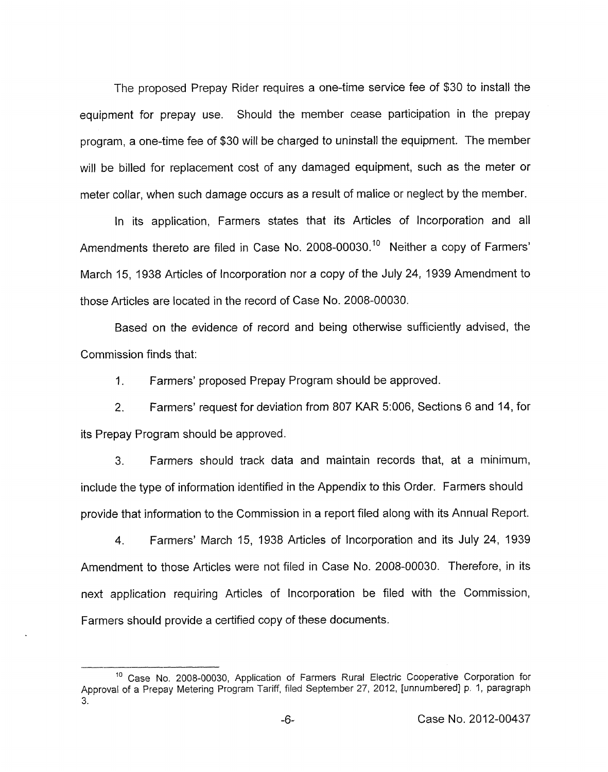The proposed Prepay Rider requires a one-time service fee of \$30 to install the equipment for prepay use. Should the member cease participation in the prepay program, a one-time fee of \$30 will be charged to uninstall the equipment. The member will be billed for replacement cost of any damaged equipment, such as the meter or meter collar, when such damage occurs as a result of malice or neglect by the member.

In its application, Farmers states that its Articles of Incorporation and all Amendments thereto are filed in Case No. 2008-00030.<sup>10</sup> Neither a copy of Farmers' March 15, I938 Articles of Incorporation nor a copy of the July 24, 1939 Amendment to those Articles are located in the record of Case **No.** 2008-00030.

Based on the evidence of record and being otherwise sufficiently advised, the Commission finds that:

1. Farmers' proposed Prepay Program should be approved.

2. Farmers' request for deviation from 807 KAR 5:006, Sections 6 and 14, for its Prepay Program should be approved.

3. Farmers should track data and maintain records that, at a minimum, include the type of information identified in the Appendix to this Order. Farmers should provide that information to the Commission in a report filed along with its Annual Report.

4. Farmers' March 15, 1938 Articles of Incorporation and its July 24, 1939 Amendment to those Articles were not filed in Case No. 2008-00030. Therefore, in its next application requiring Articles of Incorporation be filed with the Commission, Farmers should provide a certified copy of these documents.

<sup>&</sup>lt;sup>10</sup> Case No. 2008-00030, Application of Farmers Rural Electric Cooperative Corporation for Approval of a Prepay Metering Program Tariff, filed September 27, 2012, [unnumbered] p, 1, paragraph **3.**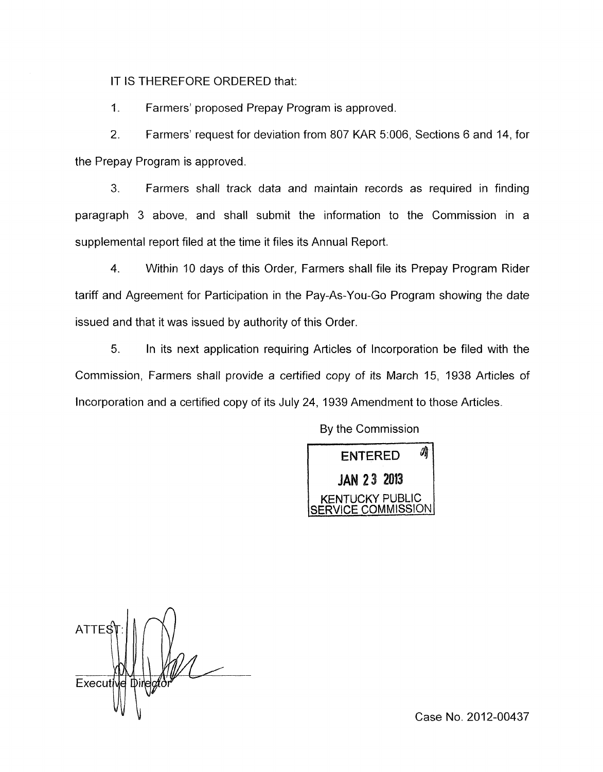IT IS THEREFORE ORDERED that:

1. Farmers' proposed Prepay Program is approved.

2. Farmers' request for deviation from 807 KAR 5:006, Sections 6 and 14, for the Prepay Program is approved.

*3.* Farmers shall track data and maintain records as required in finding paragraph 3 above, and shall submit the information to the Commission in a supplemental report filed at the time it files its Annual Report.

4. Within 10 days of this Order, Farmers shall file its Prepay Program Rider tariff and Agreement for Participation in the Pay-As-You-Go Program showing the date issued and that it was issued by authority of this Order.

5. In its next application requiring Articles of Incorporation be filed with the Commission, Farmers shall provide a certified copy of its March 15, 1938 Articles of Incorporation and a certified copy of its July 24, 1939 Amendment to those Articles.

靖 ENTERED **JAN 23 2013** ICKY PUBLIC COMMISSION

By the Commission

ATTE: Executive Directo

Case No. 2012-00437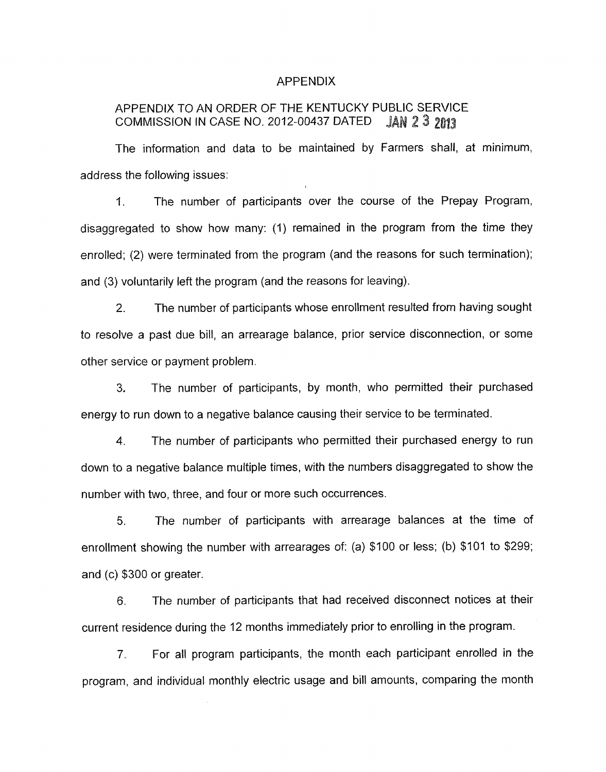#### APPENDIX

# APPENDIX TO AN ORDER OF THE KENTUCKY PUBLIC SERVICE<br>COMMISSION IN CASE NO. 2012-00437 DATED JAN 2 3 2013 COMMISSION IN CASE NO. 2012-00437 DATED

The information and data to be maintained by Farmers shall, at minimum, address the following issues:

I. The number of participants over the course of the Prepay Program, disaggregated to show how many: (1) remained in the program from the time they enrolled; (2) were terminated from the program (and the reasons for such termination); and (3) voluntarily left the program (and the reasons for leaving).

2. The number of participants whose enrollment resulted from having sought to resolve a past due bill, an arrearage balance, prior service disconnection, or some other service or payment problem.

3. The number of participants, by month, who permitted their purchased energy to run down to a negative balance causing their service to be terminated.

**4.** The number of participants who permitted their purchased energy to run down to a negative balance multiple times, with the numbers disaggregated to show the number with two, three, and four or more such occurrences.

5. The number of participants with arrearage balances at the time of enrollment showing the number with arrearages of: (a) \$100 or less; (b) \$101 to \$299; and (c) \$300 or greater.

*6.* The number of participants that had received disconnect notices at their current residence during the 12 months immediately prior to enrolling in the program.

7. For all program participants, the month each participant enrolled in the program, and individual monthly electric usage and bill amounts, comparing the month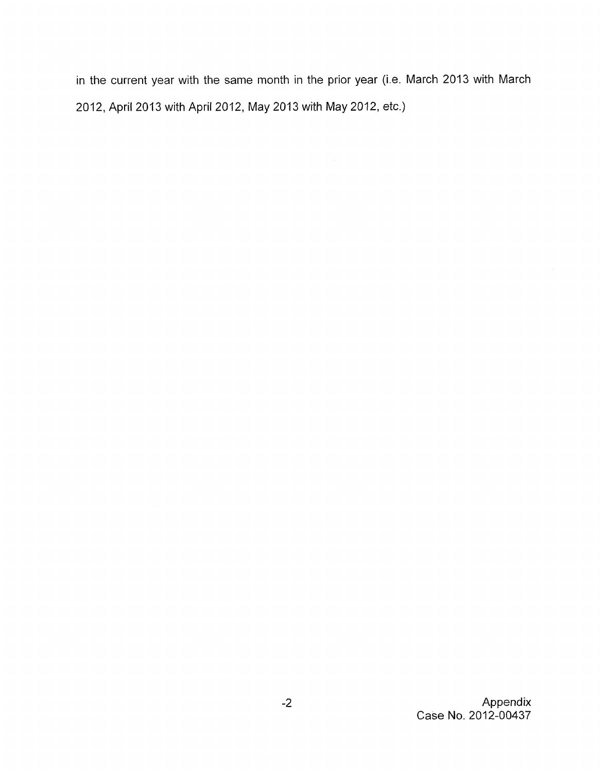in the current year with the same month in the prior year (i.e. March 2013 with March 2012, April 2013 with April 2012, May 2013 with May 2012, etc.)